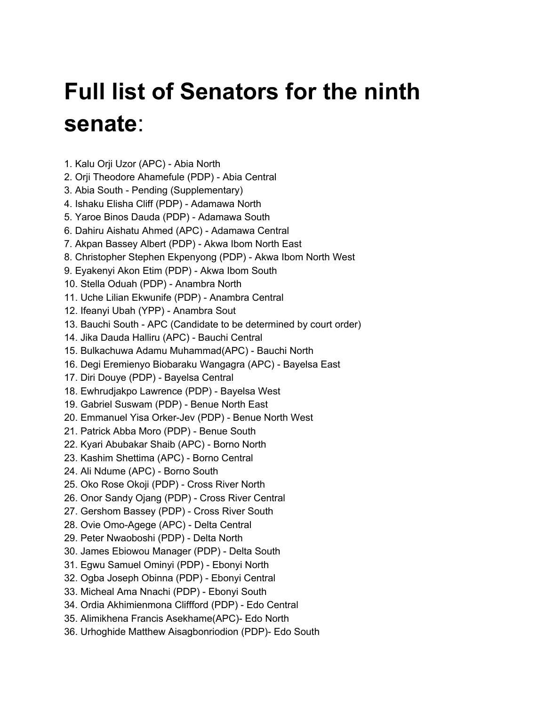## **Full list of Senators for the ninth senate**:

- 1. Kalu Orji Uzor (APC) Abia North
- 2. Orji Theodore Ahamefule (PDP) Abia Central
- 3. Abia South Pending (Supplementary)
- 4. Ishaku Elisha Cliff (PDP) Adamawa North
- 5. Yaroe Binos Dauda (PDP) Adamawa South
- 6. Dahiru Aishatu Ahmed (APC) Adamawa Central
- 7. Akpan Bassey Albert (PDP) Akwa Ibom North East
- 8. Christopher Stephen Ekpenyong (PDP) Akwa Ibom North West
- 9. Eyakenyi Akon Etim (PDP) Akwa Ibom South
- 10. Stella Oduah (PDP) Anambra North
- 11. Uche Lilian Ekwunife (PDP) Anambra Central
- 12. Ifeanyi Ubah (YPP) Anambra Sout
- 13. Bauchi South APC (Candidate to be determined by court order)
- 14. Jika Dauda Halliru (APC) Bauchi Central
- 15. Bulkachuwa Adamu Muhammad(APC) Bauchi North
- 16. Degi Eremienyo Biobaraku Wangagra (APC) Bayelsa East
- 17. Diri Douye (PDP) Bayelsa Central
- 18. Ewhrudjakpo Lawrence (PDP) Bayelsa West
- 19. Gabriel Suswam (PDP) Benue North East
- 20. Emmanuel Yisa Orker-Jev (PDP) Benue North West
- 21. Patrick Abba Moro (PDP) Benue South
- 22. Kyari Abubakar Shaib (APC) Borno North
- 23. Kashim Shettima (APC) Borno Central
- 24. Ali Ndume (APC) Borno South
- 25. Oko Rose Okoji (PDP) Cross River North
- 26. Onor Sandy Ojang (PDP) Cross River Central
- 27. Gershom Bassey (PDP) Cross River South
- 28. Ovie Omo-Agege (APC) Delta Central
- 29. Peter Nwaoboshi (PDP) Delta North
- 30. James Ebiowou Manager (PDP) Delta South
- 31. Egwu Samuel Ominyi (PDP) Ebonyi North
- 32. Ogba Joseph Obinna (PDP) Ebonyi Central
- 33. Micheal Ama Nnachi (PDP) Ebonyi South
- 34. Ordia Akhimienmona Cliffford (PDP) Edo Central
- 35. Alimikhena Francis Asekhame(APC)- Edo North
- 36. Urhoghide Matthew Aisagbonriodion (PDP)- Edo South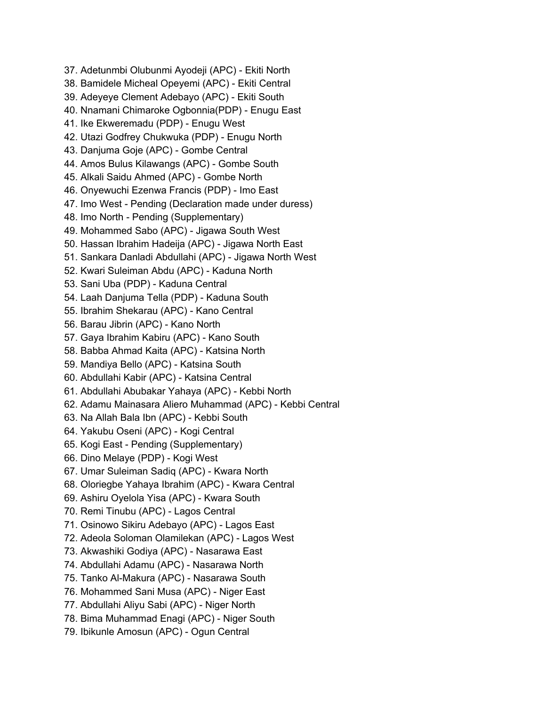37. Adetunmbi Olubunmi Ayodeji (APC) - Ekiti North 38. Bamidele Micheal Opeyemi (APC) - Ekiti Central 39. Adeyeye Clement Adebayo (APC) - Ekiti South 40. Nnamani Chimaroke Ogbonnia(PDP) - Enugu East 41. Ike Ekweremadu (PDP) - Enugu West 42. Utazi Godfrey Chukwuka (PDP) - Enugu North 43. Danjuma Goje (APC) - Gombe Central 44. Amos Bulus Kilawangs (APC) - Gombe South 45. Alkali Saidu Ahmed (APC) - Gombe North 46. Onyewuchi Ezenwa Francis (PDP) - Imo East 47. Imo West - Pending (Declaration made under duress) 48. Imo North - Pending (Supplementary) 49. Mohammed Sabo (APC) - Jigawa South West 50. Hassan Ibrahim Hadeija (APC) - Jigawa North East 51. Sankara Danladi Abdullahi (APC) - Jigawa North West 52. Kwari Suleiman Abdu (APC) - Kaduna North 53. Sani Uba (PDP) - Kaduna Central 54. Laah Danjuma Tella (PDP) - Kaduna South 55. Ibrahim Shekarau (APC) - Kano Central 56. Barau Jibrin (APC) - Kano North 57. Gaya Ibrahim Kabiru (APC) - Kano South 58. Babba Ahmad Kaita (APC) - Katsina North 59. Mandiya Bello (APC) - Katsina South 60. Abdullahi Kabir (APC) - Katsina Central 61. Abdullahi Abubakar Yahaya (APC) - Kebbi North 62. Adamu Mainasara Aliero Muhammad (APC) - Kebbi Central 63. Na Allah Bala Ibn (APC) - Kebbi South 64. Yakubu Oseni (APC) - Kogi Central 65. Kogi East - Pending (Supplementary) 66. Dino Melaye (PDP) - Kogi West 67. Umar Suleiman Sadiq (APC) - Kwara North 68. Oloriegbe Yahaya Ibrahim (APC) - Kwara Central 69. Ashiru Oyelola Yisa (APC) - Kwara South 70. Remi Tinubu (APC) - Lagos Central 71. Osinowo Sikiru Adebayo (APC) - Lagos East 72. Adeola Soloman Olamilekan (APC) - Lagos West 73. Akwashiki Godiya (APC) - Nasarawa East 74. Abdullahi Adamu (APC) - Nasarawa North 75. Tanko Al-Makura (APC) - Nasarawa South 76. Mohammed Sani Musa (APC) - Niger East 77. Abdullahi Aliyu Sabi (APC) - Niger North 78. Bima Muhammad Enagi (APC) - Niger South 79. Ibikunle Amosun (APC) - Ogun Central